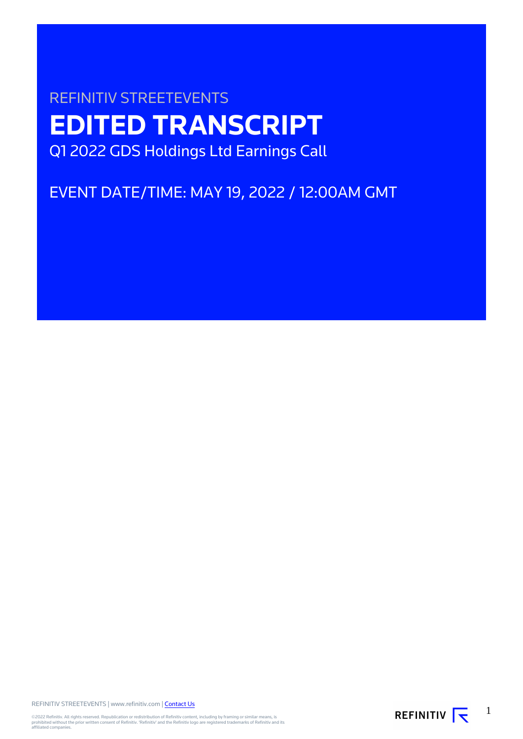# REFINITIV STREETEVENTS **EDITED TRANSCRIPT** Q1 2022 GDS Holdings Ltd Earnings Call

EVENT DATE/TIME: MAY 19, 2022 / 12:00AM GMT

REFINITIV STREETEVENTS | www.refinitiv.com | [Contact Us](https://www.refinitiv.com/en/contact-us)

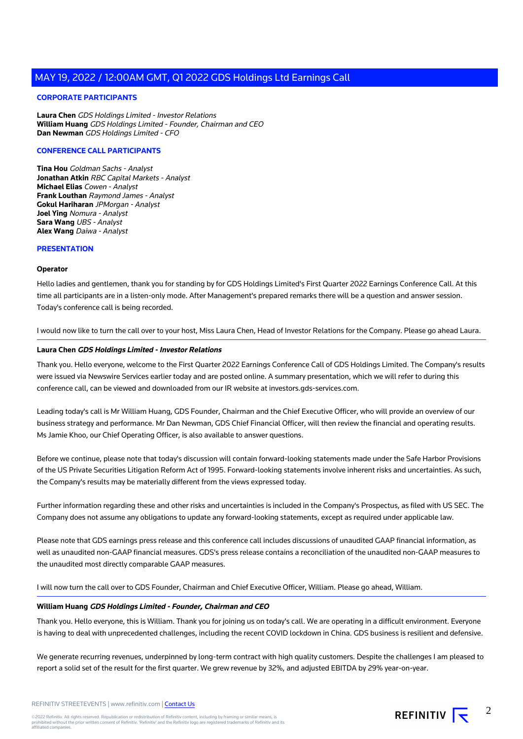# **CORPORATE PARTICIPANTS**

**Laura Chen** GDS Holdings Limited - Investor Relations **William Huang** GDS Holdings Limited - Founder, Chairman and CEO **Dan Newman** GDS Holdings Limited - CFO

# **CONFERENCE CALL PARTICIPANTS**

**Tina Hou** Goldman Sachs - Analyst **Jonathan Atkin** RBC Capital Markets - Analyst **Michael Elias** Cowen - Analyst **Frank Louthan** Raymond James - Analyst **Gokul Hariharan** JPMorgan - Analyst **Joel Ying** Nomura - Analyst **Sara Wang** UBS - Analyst **Alex Wang** Daiwa - Analyst

## **PRESENTATION**

## **Operator**

Hello ladies and gentlemen, thank you for standing by for GDS Holdings Limited's First Quarter 2022 Earnings Conference Call. At this time all participants are in a listen-only mode. After Management's prepared remarks there will be a question and answer session. Today's conference call is being recorded.

I would now like to turn the call over to your host, Miss Laura Chen, Head of Investor Relations for the Company. Please go ahead Laura.

# **Laura Chen GDS Holdings Limited - Investor Relations**

Thank you. Hello everyone, welcome to the First Quarter 2022 Earnings Conference Call of GDS Holdings Limited. The Company's results were issued via Newswire Services earlier today and are posted online. A summary presentation, which we will refer to during this conference call, can be viewed and downloaded from our IR website at investors.gds-services.com.

Leading today's call is Mr William Huang, GDS Founder, Chairman and the Chief Executive Officer, who will provide an overview of our business strategy and performance. Mr Dan Newman, GDS Chief Financial Officer, will then review the financial and operating results. Ms Jamie Khoo, our Chief Operating Officer, is also available to answer questions.

Before we continue, please note that today's discussion will contain forward-looking statements made under the Safe Harbor Provisions of the US Private Securities Litigation Reform Act of 1995. Forward-looking statements involve inherent risks and uncertainties. As such, the Company's results may be materially different from the views expressed today.

Further information regarding these and other risks and uncertainties is included in the Company's Prospectus, as filed with US SEC. The Company does not assume any obligations to update any forward-looking statements, except as required under applicable law.

Please note that GDS earnings press release and this conference call includes discussions of unaudited GAAP financial information, as well as unaudited non-GAAP financial measures. GDS's press release contains a reconciliation of the unaudited non-GAAP measures to the unaudited most directly comparable GAAP measures.

I will now turn the call over to GDS Founder, Chairman and Chief Executive Officer, William. Please go ahead, William.

#### **William Huang GDS Holdings Limited - Founder, Chairman and CEO**

Thank you. Hello everyone, this is William. Thank you for joining us on today's call. We are operating in a difficult environment. Everyone is having to deal with unprecedented challenges, including the recent COVID lockdown in China. GDS business is resilient and defensive.

We generate recurring revenues, underpinned by long-term contract with high quality customers. Despite the challenges I am pleased to report a solid set of the result for the first quarter. We grew revenue by 32%, and adjusted EBITDA by 29% year-on-year.

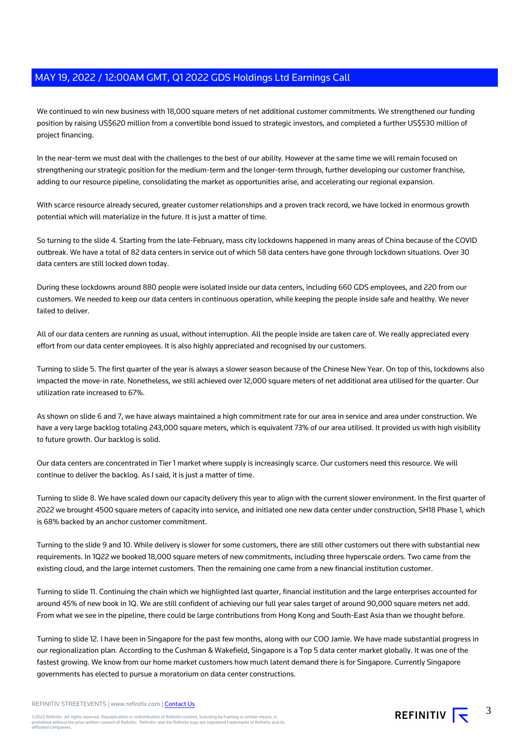We continued to win new business with 18,000 square meters of net additional customer commitments. We strengthened our funding position by raising US\$620 million from a convertible bond issued to strategic investors, and completed a further US\$530 million of project financing.

In the near-term we must deal with the challenges to the best of our ability. However at the same time we will remain focused on strengthening our strategic position for the medium-term and the longer-term through, further developing our customer franchise, adding to our resource pipeline, consolidating the market as opportunities arise, and accelerating our regional expansion.

With scarce resource already secured, greater customer relationships and a proven track record, we have locked in enormous growth potential which will materialize in the future. It is just a matter of time.

So turning to the slide 4. Starting from the late-February, mass city lockdowns happened in many areas of China because of the COVID outbreak. We have a total of 82 data centers in service out of which 58 data centers have gone through lockdown situations. Over 30 data centers are still locked down today.

During these lockdowns around 880 people were isolated inside our data centers, including 660 GDS employees, and 220 from our customers. We needed to keep our data centers in continuous operation, while keeping the people inside safe and healthy. We never failed to deliver.

All of our data centers are running as usual, without interruption. All the people inside are taken care of. We really appreciated every effort from our data center employees. It is also highly appreciated and recognised by our customers.

Turning to slide 5. The first quarter of the year is always a slower season because of the Chinese New Year. On top of this, lockdowns also impacted the move-in rate. Nonetheless, we still achieved over 12,000 square meters of net additional area utilised for the quarter. Our utilization rate increased to 67%.

As shown on slide 6 and 7, we have always maintained a high commitment rate for our area in service and area under construction. We have a very large backlog totaling 243,000 square meters, which is equivalent 73% of our area utilised. It provided us with high visibility to future growth. Our backlog is solid.

Our data centers are concentrated in Tier 1 market where supply is increasingly scarce. Our customers need this resource. We will continue to deliver the backlog. As I said, it is just a matter of time.

Turning to slide 8. We have scaled down our capacity delivery this year to align with the current slower environment. In the first quarter of 2022 we brought 4500 square meters of capacity into service, and initiated one new data center under construction, SH18 Phase 1, which is 68% backed by an anchor customer commitment.

Turning to the slide 9 and 10. While delivery is slower for some customers, there are still other customers out there with substantial new requirements. In 1Q22 we booked 18,000 square meters of new commitments, including three hyperscale orders. Two came from the existing cloud, and the large internet customers. Then the remaining one came from a new financial institution customer.

Turning to slide 11. Continuing the chain which we highlighted last quarter, financial institution and the large enterprises accounted for around 45% of new book in 1Q. We are still confident of achieving our full year sales target of around 90,000 square meters net add. From what we see in the pipeline, there could be large contributions from Hong Kong and South-East Asia than we thought before.

Turning to slide 12. I have been in Singapore for the past few months, along with our COO Jamie. We have made substantial progress in our regionalization plan. According to the Cushman & Wakefield, Singapore is a Top 5 data center market globally. It was one of the fastest growing. We know from our home market customers how much latent demand there is for Singapore. Currently Singapore governments has elected to pursue a moratorium on data center constructions.

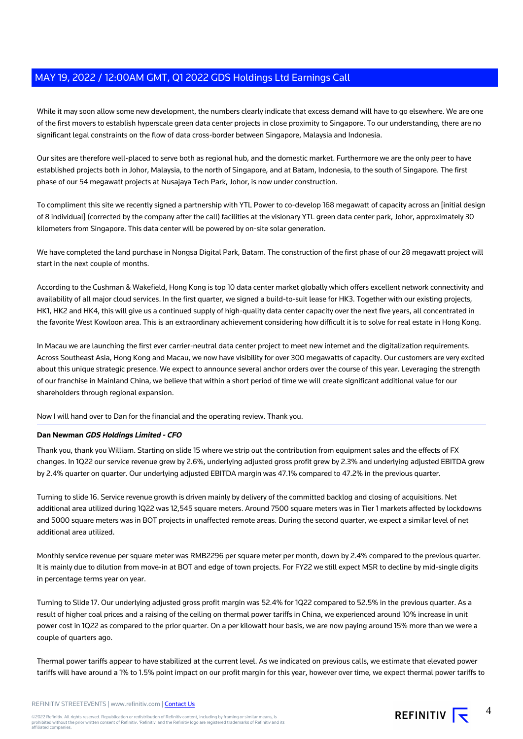While it may soon allow some new development, the numbers clearly indicate that excess demand will have to go elsewhere. We are one of the first movers to establish hyperscale green data center projects in close proximity to Singapore. To our understanding, there are no significant legal constraints on the flow of data cross-border between Singapore, Malaysia and Indonesia.

Our sites are therefore well-placed to serve both as regional hub, and the domestic market. Furthermore we are the only peer to have established projects both in Johor, Malaysia, to the north of Singapore, and at Batam, Indonesia, to the south of Singapore. The first phase of our 54 megawatt projects at Nusajaya Tech Park, Johor, is now under construction.

To compliment this site we recently signed a partnership with YTL Power to co-develop 168 megawatt of capacity across an [initial design of 8 individual] (corrected by the company after the call) facilities at the visionary YTL green data center park, Johor, approximately 30 kilometers from Singapore. This data center will be powered by on-site solar generation.

We have completed the land purchase in Nongsa Digital Park, Batam. The construction of the first phase of our 28 megawatt project will start in the next couple of months.

According to the Cushman & Wakefield, Hong Kong is top 10 data center market globally which offers excellent network connectivity and availability of all major cloud services. In the first quarter, we signed a build-to-suit lease for HK3. Together with our existing projects, HK1, HK2 and HK4, this will give us a continued supply of high-quality data center capacity over the next five years, all concentrated in the favorite West Kowloon area. This is an extraordinary achievement considering how difficult it is to solve for real estate in Hong Kong.

In Macau we are launching the first ever carrier-neutral data center project to meet new internet and the digitalization requirements. Across Southeast Asia, Hong Kong and Macau, we now have visibility for over 300 megawatts of capacity. Our customers are very excited about this unique strategic presence. We expect to announce several anchor orders over the course of this year. Leveraging the strength of our franchise in Mainland China, we believe that within a short period of time we will create significant additional value for our shareholders through regional expansion.

Now I will hand over to Dan for the financial and the operating review. Thank you.

# **Dan Newman GDS Holdings Limited - CFO**

Thank you, thank you William. Starting on slide 15 where we strip out the contribution from equipment sales and the effects of FX changes. In 1Q22 our service revenue grew by 2.6%, underlying adjusted gross profit grew by 2.3% and underlying adjusted EBITDA grew by 2.4% quarter on quarter. Our underlying adjusted EBITDA margin was 47.1% compared to 47.2% in the previous quarter.

Turning to slide 16. Service revenue growth is driven mainly by delivery of the committed backlog and closing of acquisitions. Net additional area utilized during 1Q22 was 12,545 square meters. Around 7500 square meters was in Tier 1 markets affected by lockdowns and 5000 square meters was in BOT projects in unaffected remote areas. During the second quarter, we expect a similar level of net additional area utilized.

Monthly service revenue per square meter was RMB2296 per square meter per month, down by 2.4% compared to the previous quarter. It is mainly due to dilution from move-in at BOT and edge of town projects. For FY22 we still expect MSR to decline by mid-single digits in percentage terms year on year.

Turning to Slide 17. Our underlying adjusted gross profit margin was 52.4% for 1Q22 compared to 52.5% in the previous quarter. As a result of higher coal prices and a raising of the ceiling on thermal power tariffs in China, we experienced around 10% increase in unit power cost in 1Q22 as compared to the prior quarter. On a per kilowatt hour basis, we are now paying around 15% more than we were a couple of quarters ago.

Thermal power tariffs appear to have stabilized at the current level. As we indicated on previous calls, we estimate that elevated power tariffs will have around a 1% to 1.5% point impact on our profit margin for this year, however over time, we expect thermal power tariffs to

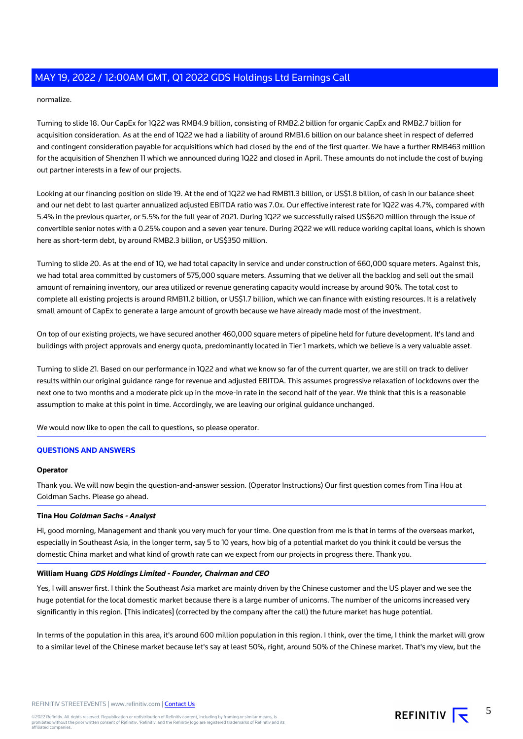# normalize.

Turning to slide 18. Our CapEx for 1Q22 was RMB4.9 billion, consisting of RMB2.2 billion for organic CapEx and RMB2.7 billion for acquisition consideration. As at the end of 1Q22 we had a liability of around RMB1.6 billion on our balance sheet in respect of deferred and contingent consideration payable for acquisitions which had closed by the end of the first quarter. We have a further RMB463 million for the acquisition of Shenzhen 11 which we announced during 1Q22 and closed in April. These amounts do not include the cost of buying out partner interests in a few of our projects.

Looking at our financing position on slide 19. At the end of 1Q22 we had RMB11.3 billion, or US\$1.8 billion, of cash in our balance sheet and our net debt to last quarter annualized adjusted EBITDA ratio was 7.0x. Our effective interest rate for 1Q22 was 4.7%, compared with 5.4% in the previous quarter, or 5.5% for the full year of 2021. During 1Q22 we successfully raised US\$620 million through the issue of convertible senior notes with a 0.25% coupon and a seven year tenure. During 2Q22 we will reduce working capital loans, which is shown here as short-term debt, by around RMB2.3 billion, or US\$350 million.

Turning to slide 20. As at the end of 1Q, we had total capacity in service and under construction of 660,000 square meters. Against this, we had total area committed by customers of 575,000 square meters. Assuming that we deliver all the backlog and sell out the small amount of remaining inventory, our area utilized or revenue generating capacity would increase by around 90%. The total cost to complete all existing projects is around RMB11.2 billion, or US\$1.7 billion, which we can finance with existing resources. It is a relatively small amount of CapEx to generate a large amount of growth because we have already made most of the investment.

On top of our existing projects, we have secured another 460,000 square meters of pipeline held for future development. It's land and buildings with project approvals and energy quota, predominantly located in Tier 1 markets, which we believe is a very valuable asset.

Turning to slide 21. Based on our performance in 1Q22 and what we know so far of the current quarter, we are still on track to deliver results within our original guidance range for revenue and adjusted EBITDA. This assumes progressive relaxation of lockdowns over the next one to two months and a moderate pick up in the move-in rate in the second half of the year. We think that this is a reasonable assumption to make at this point in time. Accordingly, we are leaving our original guidance unchanged.

We would now like to open the call to questions, so please operator.

#### **QUESTIONS AND ANSWERS**

#### **Operator**

Thank you. We will now begin the question-and-answer session. (Operator Instructions) Our first question comes from Tina Hou at Goldman Sachs. Please go ahead.

#### **Tina Hou Goldman Sachs - Analyst**

Hi, good morning, Management and thank you very much for your time. One question from me is that in terms of the overseas market, especially in Southeast Asia, in the longer term, say 5 to 10 years, how big of a potential market do you think it could be versus the domestic China market and what kind of growth rate can we expect from our projects in progress there. Thank you.

#### **William Huang GDS Holdings Limited - Founder, Chairman and CEO**

Yes, I will answer first. I think the Southeast Asia market are mainly driven by the Chinese customer and the US player and we see the huge potential for the local domestic market because there is a large number of unicorns. The number of the unicorns increased very significantly in this region. [This indicates] (corrected by the company after the call) the future market has huge potential.

In terms of the population in this area, it's around 600 million population in this region. I think, over the time, I think the market will grow to a similar level of the Chinese market because let's say at least 50%, right, around 50% of the Chinese market. That's my view, but the

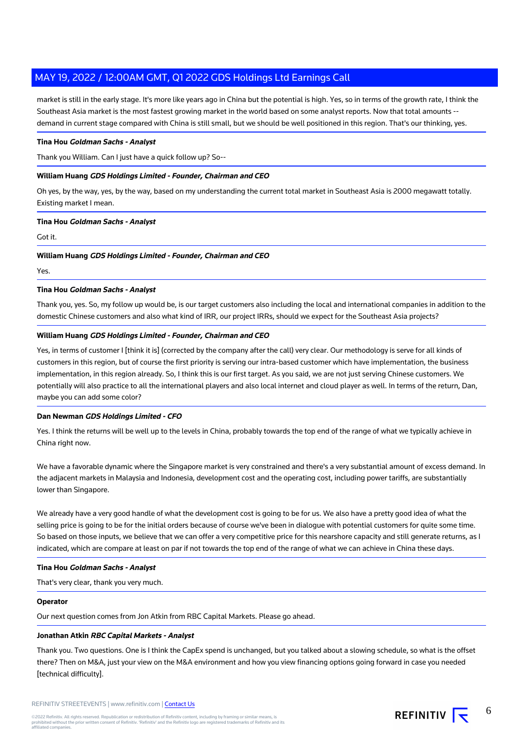market is still in the early stage. It's more like years ago in China but the potential is high. Yes, so in terms of the growth rate, I think the Southeast Asia market is the most fastest growing market in the world based on some analyst reports. Now that total amounts - demand in current stage compared with China is still small, but we should be well positioned in this region. That's our thinking, yes.

# **Tina Hou Goldman Sachs - Analyst**

Thank you William. Can I just have a quick follow up? So--

# **William Huang GDS Holdings Limited - Founder, Chairman and CEO**

Oh yes, by the way, yes, by the way, based on my understanding the current total market in Southeast Asia is 2000 megawatt totally. Existing market I mean.

## **Tina Hou Goldman Sachs - Analyst**

Got it.

## **William Huang GDS Holdings Limited - Founder, Chairman and CEO**

Yes.

## **Tina Hou Goldman Sachs - Analyst**

Thank you, yes. So, my follow up would be, is our target customers also including the local and international companies in addition to the domestic Chinese customers and also what kind of IRR, our project IRRs, should we expect for the Southeast Asia projects?

# **William Huang GDS Holdings Limited - Founder, Chairman and CEO**

Yes, in terms of customer I [think it is] (corrected by the company after the call) very clear. Our methodology is serve for all kinds of customers in this region, but of course the first priority is serving our intra-based customer which have implementation, the business implementation, in this region already. So, I think this is our first target. As you said, we are not just serving Chinese customers. We potentially will also practice to all the international players and also local internet and cloud player as well. In terms of the return, Dan, maybe you can add some color?

# **Dan Newman GDS Holdings Limited - CFO**

Yes. I think the returns will be well up to the levels in China, probably towards the top end of the range of what we typically achieve in China right now.

We have a favorable dynamic where the Singapore market is very constrained and there's a very substantial amount of excess demand. In the adjacent markets in Malaysia and Indonesia, development cost and the operating cost, including power tariffs, are substantially lower than Singapore.

We already have a very good handle of what the development cost is going to be for us. We also have a pretty good idea of what the selling price is going to be for the initial orders because of course we've been in dialogue with potential customers for quite some time. So based on those inputs, we believe that we can offer a very competitive price for this nearshore capacity and still generate returns, as I indicated, which are compare at least on par if not towards the top end of the range of what we can achieve in China these days.

#### **Tina Hou Goldman Sachs - Analyst**

That's very clear, thank you very much.

#### **Operator**

Our next question comes from Jon Atkin from RBC Capital Markets. Please go ahead.

# **Jonathan Atkin RBC Capital Markets - Analyst**

Thank you. Two questions. One is I think the CapEx spend is unchanged, but you talked about a slowing schedule, so what is the offset there? Then on M&A, just your view on the M&A environment and how you view financing options going forward in case you needed [technical difficulty].



6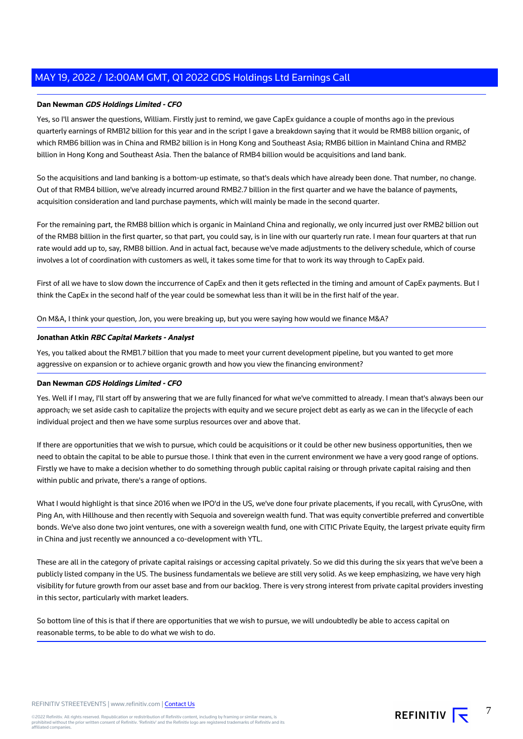# **Dan Newman GDS Holdings Limited - CFO**

Yes, so I'll answer the questions, William. Firstly just to remind, we gave CapEx guidance a couple of months ago in the previous quarterly earnings of RMB12 billion for this year and in the script I gave a breakdown saying that it would be RMB8 billion organic, of which RMB6 billion was in China and RMB2 billion is in Hong Kong and Southeast Asia; RMB6 billion in Mainland China and RMB2 billion in Hong Kong and Southeast Asia. Then the balance of RMB4 billion would be acquisitions and land bank.

So the acquisitions and land banking is a bottom-up estimate, so that's deals which have already been done. That number, no change. Out of that RMB4 billion, we've already incurred around RMB2.7 billion in the first quarter and we have the balance of payments, acquisition consideration and land purchase payments, which will mainly be made in the second quarter.

For the remaining part, the RMB8 billion which is organic in Mainland China and regionally, we only incurred just over RMB2 billion out of the RMB8 billion in the first quarter, so that part, you could say, is in line with our quarterly run rate. I mean four quarters at that run rate would add up to, say, RMB8 billion. And in actual fact, because we've made adjustments to the delivery schedule, which of course involves a lot of coordination with customers as well, it takes some time for that to work its way through to CapEx paid.

First of all we have to slow down the inccurrence of CapEx and then it gets reflected in the timing and amount of CapEx payments. But I think the CapEx in the second half of the year could be somewhat less than it will be in the first half of the year.

On M&A, I think your question, Jon, you were breaking up, but you were saying how would we finance M&A?

# **Jonathan Atkin RBC Capital Markets - Analyst**

Yes, you talked about the RMB1.7 billion that you made to meet your current development pipeline, but you wanted to get more aggressive on expansion or to achieve organic growth and how you view the financing environment?

# **Dan Newman GDS Holdings Limited - CFO**

Yes. Well if I may, I'll start off by answering that we are fully financed for what we've committed to already. I mean that's always been our approach; we set aside cash to capitalize the projects with equity and we secure project debt as early as we can in the lifecycle of each individual project and then we have some surplus resources over and above that.

If there are opportunities that we wish to pursue, which could be acquisitions or it could be other new business opportunities, then we need to obtain the capital to be able to pursue those. I think that even in the current environment we have a very good range of options. Firstly we have to make a decision whether to do something through public capital raising or through private capital raising and then within public and private, there's a range of options.

What I would highlight is that since 2016 when we IPO'd in the US, we've done four private placements, if you recall, with CyrusOne, with Ping An, with Hillhouse and then recently with Sequoia and sovereign wealth fund. That was equity convertible preferred and convertible bonds. We've also done two joint ventures, one with a sovereign wealth fund, one with CITIC Private Equity, the largest private equity firm in China and just recently we announced a co-development with YTL.

These are all in the category of private capital raisings or accessing capital privately. So we did this during the six years that we've been a publicly listed company in the US. The business fundamentals we believe are still very solid. As we keep emphasizing, we have very high visibility for future growth from our asset base and from our backlog. There is very strong interest from private capital providers investing in this sector, particularly with market leaders.

So bottom line of this is that if there are opportunities that we wish to pursue, we will undoubtedly be able to access capital on reasonable terms, to be able to do what we wish to do.



7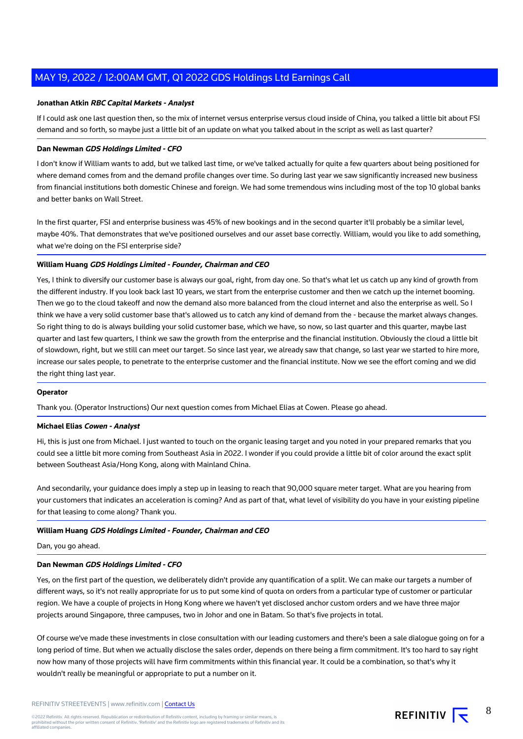## **Jonathan Atkin RBC Capital Markets - Analyst**

If I could ask one last question then, so the mix of internet versus enterprise versus cloud inside of China, you talked a little bit about FSI demand and so forth, so maybe just a little bit of an update on what you talked about in the script as well as last quarter?

# **Dan Newman GDS Holdings Limited - CFO**

I don't know if William wants to add, but we talked last time, or we've talked actually for quite a few quarters about being positioned for where demand comes from and the demand profile changes over time. So during last year we saw significantly increased new business from financial institutions both domestic Chinese and foreign. We had some tremendous wins including most of the top 10 global banks and better banks on Wall Street.

In the first quarter, FSI and enterprise business was 45% of new bookings and in the second quarter it'll probably be a similar level, maybe 40%. That demonstrates that we've positioned ourselves and our asset base correctly. William, would you like to add something, what we're doing on the FSI enterprise side?

# **William Huang GDS Holdings Limited - Founder, Chairman and CEO**

Yes, I think to diversify our customer base is always our goal, right, from day one. So that's what let us catch up any kind of growth from the different industry. If you look back last 10 years, we start from the enterprise customer and then we catch up the internet booming. Then we go to the cloud takeoff and now the demand also more balanced from the cloud internet and also the enterprise as well. So I think we have a very solid customer base that's allowed us to catch any kind of demand from the - because the market always changes. So right thing to do is always building your solid customer base, which we have, so now, so last quarter and this quarter, maybe last quarter and last few quarters, I think we saw the growth from the enterprise and the financial institution. Obviously the cloud a little bit of slowdown, right, but we still can meet our target. So since last year, we already saw that change, so last year we started to hire more, increase our sales people, to penetrate to the enterprise customer and the financial institute. Now we see the effort coming and we did the right thing last year.

#### **Operator**

Thank you. (Operator Instructions) Our next question comes from Michael Elias at Cowen. Please go ahead.

#### **Michael Elias Cowen - Analyst**

Hi, this is just one from Michael. I just wanted to touch on the organic leasing target and you noted in your prepared remarks that you could see a little bit more coming from Southeast Asia in 2022. I wonder if you could provide a little bit of color around the exact split between Southeast Asia/Hong Kong, along with Mainland China.

And secondarily, your guidance does imply a step up in leasing to reach that 90,000 square meter target. What are you hearing from your customers that indicates an acceleration is coming? And as part of that, what level of visibility do you have in your existing pipeline for that leasing to come along? Thank you.

# **William Huang GDS Holdings Limited - Founder, Chairman and CEO**

Dan, you go ahead.

#### **Dan Newman GDS Holdings Limited - CFO**

Yes, on the first part of the question, we deliberately didn't provide any quantification of a split. We can make our targets a number of different ways, so it's not really appropriate for us to put some kind of quota on orders from a particular type of customer or particular region. We have a couple of projects in Hong Kong where we haven't yet disclosed anchor custom orders and we have three major projects around Singapore, three campuses, two in Johor and one in Batam. So that's five projects in total.

Of course we've made these investments in close consultation with our leading customers and there's been a sale dialogue going on for a long period of time. But when we actually disclose the sales order, depends on there being a firm commitment. It's too hard to say right now how many of those projects will have firm commitments within this financial year. It could be a combination, so that's why it wouldn't really be meaningful or appropriate to put a number on it.

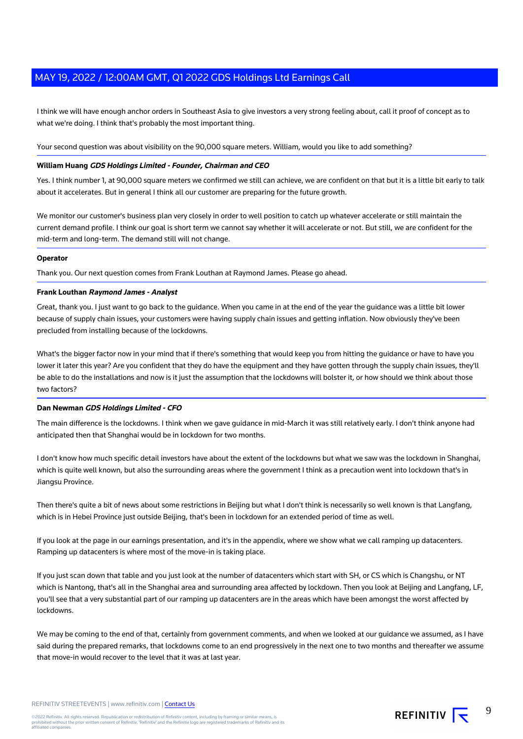I think we will have enough anchor orders in Southeast Asia to give investors a very strong feeling about, call it proof of concept as to what we're doing. I think that's probably the most important thing.

Your second question was about visibility on the 90,000 square meters. William, would you like to add something?

## **William Huang GDS Holdings Limited - Founder, Chairman and CEO**

Yes. I think number 1, at 90,000 square meters we confirmed we still can achieve, we are confident on that but it is a little bit early to talk about it accelerates. But in general I think all our customer are preparing for the future growth.

We monitor our customer's business plan very closely in order to well position to catch up whatever accelerate or still maintain the current demand profile. I think our goal is short term we cannot say whether it will accelerate or not. But still, we are confident for the mid-term and long-term. The demand still will not change.

#### **Operator**

Thank you. Our next question comes from Frank Louthan at Raymond James. Please go ahead.

## **Frank Louthan Raymond James - Analyst**

Great, thank you. I just want to go back to the guidance. When you came in at the end of the year the guidance was a little bit lower because of supply chain issues, your customers were having supply chain issues and getting inflation. Now obviously they've been precluded from installing because of the lockdowns.

What's the bigger factor now in your mind that if there's something that would keep you from hitting the guidance or have to have you lower it later this year? Are you confident that they do have the equipment and they have gotten through the supply chain issues, they'll be able to do the installations and now is it just the assumption that the lockdowns will bolster it, or how should we think about those two factors?

# **Dan Newman GDS Holdings Limited - CFO**

The main difference is the lockdowns. I think when we gave guidance in mid-March it was still relatively early. I don't think anyone had anticipated then that Shanghai would be in lockdown for two months.

I don't know how much specific detail investors have about the extent of the lockdowns but what we saw was the lockdown in Shanghai, which is quite well known, but also the surrounding areas where the government I think as a precaution went into lockdown that's in Jiangsu Province.

Then there's quite a bit of news about some restrictions in Beijing but what I don't think is necessarily so well known is that Langfang, which is in Hebei Province just outside Beijing, that's been in lockdown for an extended period of time as well.

If you look at the page in our earnings presentation, and it's in the appendix, where we show what we call ramping up datacenters. Ramping up datacenters is where most of the move-in is taking place.

If you just scan down that table and you just look at the number of datacenters which start with SH, or CS which is Changshu, or NT which is Nantong, that's all in the Shanghai area and surrounding area affected by lockdown. Then you look at Beijing and Langfang, LF, you'll see that a very substantial part of our ramping up datacenters are in the areas which have been amongst the worst affected by lockdowns.

We may be coming to the end of that, certainly from government comments, and when we looked at our guidance we assumed, as I have said during the prepared remarks, that lockdowns come to an end progressively in the next one to two months and thereafter we assume that move-in would recover to the level that it was at last year.



9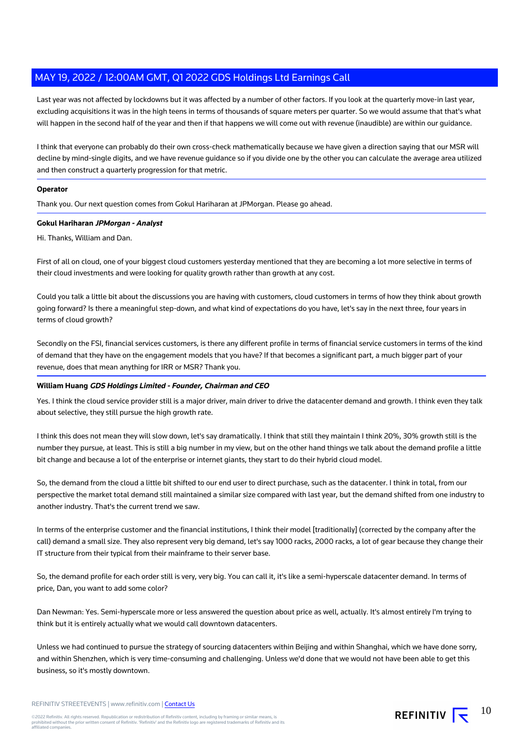Last year was not affected by lockdowns but it was affected by a number of other factors. If you look at the quarterly move-in last year, excluding acquisitions it was in the high teens in terms of thousands of square meters per quarter. So we would assume that that's what will happen in the second half of the year and then if that happens we will come out with revenue (inaudible) are within our guidance.

I think that everyone can probably do their own cross-check mathematically because we have given a direction saying that our MSR will decline by mind-single digits, and we have revenue guidance so if you divide one by the other you can calculate the average area utilized and then construct a quarterly progression for that metric.

# **Operator**

Thank you. Our next question comes from Gokul Hariharan at JPMorgan. Please go ahead.

## **Gokul Hariharan JPMorgan - Analyst**

Hi. Thanks, William and Dan.

First of all on cloud, one of your biggest cloud customers yesterday mentioned that they are becoming a lot more selective in terms of their cloud investments and were looking for quality growth rather than growth at any cost.

Could you talk a little bit about the discussions you are having with customers, cloud customers in terms of how they think about growth going forward? Is there a meaningful step-down, and what kind of expectations do you have, let's say in the next three, four years in terms of cloud growth?

Secondly on the FSI, financial services customers, is there any different profile in terms of financial service customers in terms of the kind of demand that they have on the engagement models that you have? If that becomes a significant part, a much bigger part of your revenue, does that mean anything for IRR or MSR? Thank you.

# **William Huang GDS Holdings Limited - Founder, Chairman and CEO**

Yes. I think the cloud service provider still is a major driver, main driver to drive the datacenter demand and growth. I think even they talk about selective, they still pursue the high growth rate.

I think this does not mean they will slow down, let's say dramatically. I think that still they maintain I think 20%, 30% growth still is the number they pursue, at least. This is still a big number in my view, but on the other hand things we talk about the demand profile a little bit change and because a lot of the enterprise or internet giants, they start to do their hybrid cloud model.

So, the demand from the cloud a little bit shifted to our end user to direct purchase, such as the datacenter. I think in total, from our perspective the market total demand still maintained a similar size compared with last year, but the demand shifted from one industry to another industry. That's the current trend we saw.

In terms of the enterprise customer and the financial institutions, I think their model [traditionally] (corrected by the company after the call) demand a small size. They also represent very big demand, let's say 1000 racks, 2000 racks, a lot of gear because they change their IT structure from their typical from their mainframe to their server base.

So, the demand profile for each order still is very, very big. You can call it, it's like a semi-hyperscale datacenter demand. In terms of price, Dan, you want to add some color?

Dan Newman: Yes. Semi-hyperscale more or less answered the question about price as well, actually. It's almost entirely I'm trying to think but it is entirely actually what we would call downtown datacenters.

Unless we had continued to pursue the strategy of sourcing datacenters within Beijing and within Shanghai, which we have done sorry, and within Shenzhen, which is very time-consuming and challenging. Unless we'd done that we would not have been able to get this business, so it's mostly downtown.

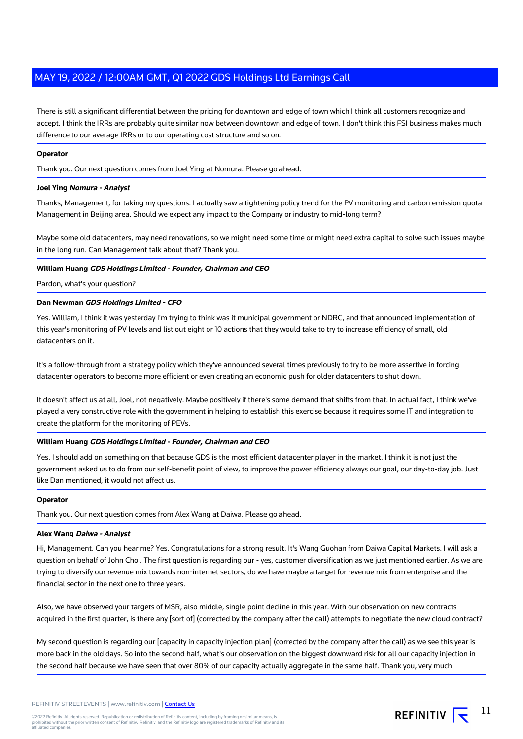There is still a significant differential between the pricing for downtown and edge of town which I think all customers recognize and accept. I think the IRRs are probably quite similar now between downtown and edge of town. I don't think this FSI business makes much difference to our average IRRs or to our operating cost structure and so on.

# **Operator**

Thank you. Our next question comes from Joel Ying at Nomura. Please go ahead.

## **Joel Ying Nomura - Analyst**

Thanks, Management, for taking my questions. I actually saw a tightening policy trend for the PV monitoring and carbon emission quota Management in Beijing area. Should we expect any impact to the Company or industry to mid-long term?

Maybe some old datacenters, may need renovations, so we might need some time or might need extra capital to solve such issues maybe in the long run. Can Management talk about that? Thank you.

# **William Huang GDS Holdings Limited - Founder, Chairman and CEO**

Pardon, what's your question?

# **Dan Newman GDS Holdings Limited - CFO**

Yes. William, I think it was yesterday I'm trying to think was it municipal government or NDRC, and that announced implementation of this year's monitoring of PV levels and list out eight or 10 actions that they would take to try to increase efficiency of small, old datacenters on it.

It's a follow-through from a strategy policy which they've announced several times previously to try to be more assertive in forcing datacenter operators to become more efficient or even creating an economic push for older datacenters to shut down.

It doesn't affect us at all, Joel, not negatively. Maybe positively if there's some demand that shifts from that. In actual fact, I think we've played a very constructive role with the government in helping to establish this exercise because it requires some IT and integration to create the platform for the monitoring of PEVs.

#### **William Huang GDS Holdings Limited - Founder, Chairman and CEO**

Yes. I should add on something on that because GDS is the most efficient datacenter player in the market. I think it is not just the government asked us to do from our self-benefit point of view, to improve the power efficiency always our goal, our day-to-day job. Just like Dan mentioned, it would not affect us.

#### **Operator**

Thank you. Our next question comes from Alex Wang at Daiwa. Please go ahead.

#### **Alex Wang Daiwa - Analyst**

Hi, Management. Can you hear me? Yes. Congratulations for a strong result. It's Wang Guohan from Daiwa Capital Markets. I will ask a question on behalf of John Choi. The first question is regarding our - yes, customer diversification as we just mentioned earlier. As we are trying to diversify our revenue mix towards non-internet sectors, do we have maybe a target for revenue mix from enterprise and the financial sector in the next one to three years.

Also, we have observed your targets of MSR, also middle, single point decline in this year. With our observation on new contracts acquired in the first quarter, is there any [sort of] (corrected by the company after the call) attempts to negotiate the new cloud contract?

My second question is regarding our [capacity in capacity injection plan] (corrected by the company after the call) as we see this year is more back in the old days. So into the second half, what's our observation on the biggest downward risk for all our capacity injection in the second half because we have seen that over 80% of our capacity actually aggregate in the same half. Thank you, very much.

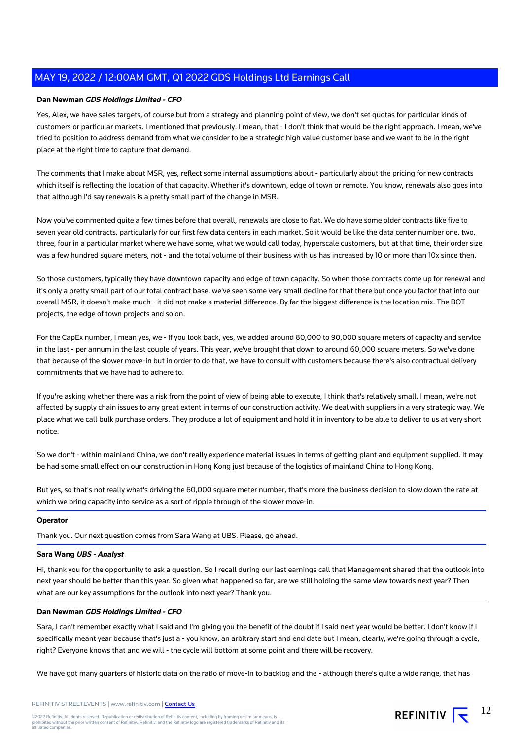# **Dan Newman GDS Holdings Limited - CFO**

Yes, Alex, we have sales targets, of course but from a strategy and planning point of view, we don't set quotas for particular kinds of customers or particular markets. I mentioned that previously. I mean, that - I don't think that would be the right approach. I mean, we've tried to position to address demand from what we consider to be a strategic high value customer base and we want to be in the right place at the right time to capture that demand.

The comments that I make about MSR, yes, reflect some internal assumptions about - particularly about the pricing for new contracts which itself is reflecting the location of that capacity. Whether it's downtown, edge of town or remote. You know, renewals also goes into that although I'd say renewals is a pretty small part of the change in MSR.

Now you've commented quite a few times before that overall, renewals are close to flat. We do have some older contracts like five to seven year old contracts, particularly for our first few data centers in each market. So it would be like the data center number one, two, three, four in a particular market where we have some, what we would call today, hyperscale customers, but at that time, their order size was a few hundred square meters, not - and the total volume of their business with us has increased by 10 or more than 10x since then.

So those customers, typically they have downtown capacity and edge of town capacity. So when those contracts come up for renewal and it's only a pretty small part of our total contract base, we've seen some very small decline for that there but once you factor that into our overall MSR, it doesn't make much - it did not make a material difference. By far the biggest difference is the location mix. The BOT projects, the edge of town projects and so on.

For the CapEx number, I mean yes, we - if you look back, yes, we added around 80,000 to 90,000 square meters of capacity and service in the last - per annum in the last couple of years. This year, we've brought that down to around 60,000 square meters. So we've done that because of the slower move-in but in order to do that, we have to consult with customers because there's also contractual delivery commitments that we have had to adhere to.

If you're asking whether there was a risk from the point of view of being able to execute, I think that's relatively small. I mean, we're not affected by supply chain issues to any great extent in terms of our construction activity. We deal with suppliers in a very strategic way. We place what we call bulk purchase orders. They produce a lot of equipment and hold it in inventory to be able to deliver to us at very short notice.

So we don't - within mainland China, we don't really experience material issues in terms of getting plant and equipment supplied. It may be had some small effect on our construction in Hong Kong just because of the logistics of mainland China to Hong Kong.

But yes, so that's not really what's driving the 60,000 square meter number, that's more the business decision to slow down the rate at which we bring capacity into service as a sort of ripple through of the slower move-in.

# **Operator**

Thank you. Our next question comes from Sara Wang at UBS. Please, go ahead.

# **Sara Wang UBS - Analyst**

Hi, thank you for the opportunity to ask a question. So I recall during our last earnings call that Management shared that the outlook into next year should be better than this year. So given what happened so far, are we still holding the same view towards next year? Then what are our key assumptions for the outlook into next year? Thank you.

# **Dan Newman GDS Holdings Limited - CFO**

Sara, I can't remember exactly what I said and I'm giving you the benefit of the doubt if I said next year would be better. I don't know if I specifically meant year because that's just a - you know, an arbitrary start and end date but I mean, clearly, we're going through a cycle, right? Everyone knows that and we will - the cycle will bottom at some point and there will be recovery.

We have got many quarters of historic data on the ratio of move-in to backlog and the - although there's quite a wide range, that has